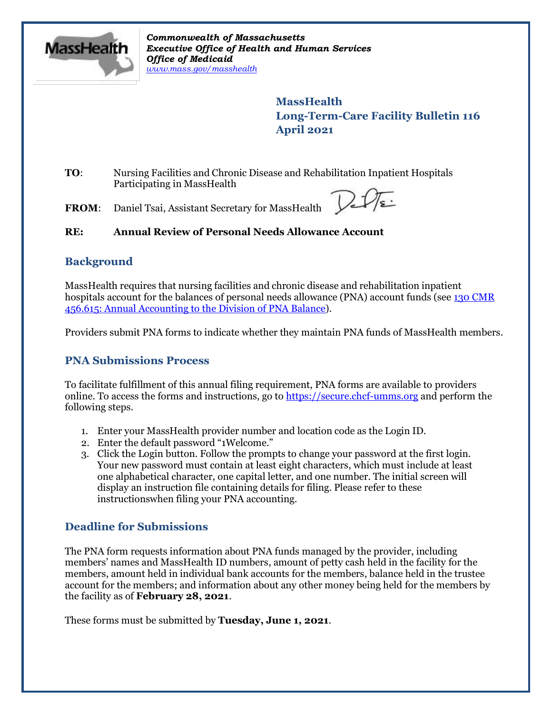

*Commonwealth of Massachusetts Executive Office of Health and Human Services Office of Medicaid [www.mass.gov/masshealth](http://www.mass.gov/masshealth)*

> **MassHealth Long-Term-Care Facility Bulletin 116 April 2021**

**TO**: Nursing Facilities and Chronic Disease and Rehabilitation Inpatient Hospitals Participating in MassHealth

**FROM**: Daniel Tsai, Assistant Secretary for MassHealth

# **RE: Annual Review of Personal Needs Allowance Account**

# **Background**

MassHealth requires that nursing facilities and chronic disease and rehabilitation inpatient hospitals account for the balances of personal needs allowance (PNA) account funds (see 130 [CMR](https://www.mass.gov/files/documents/2018/05/23/130cmr456.pdf) 456.615: Annual Accounting to the Division [of PNA Balance\)](https://www.mass.gov/files/documents/2018/05/23/130cmr456.pdf).

Providers submit PNA forms to indicate whether they maintain PNA funds of MassHealth members.

# **PNA Submissions Process**

To facilitate fulfillment of this annual filing requirement, PNA forms are available to providers online. To access the forms and instructions, go to [https://secure.chcf-umms.org](https://secure.chcf-umms.org/) and perform the following steps.

- 1. Enter your MassHealth provider number and location code as the Login ID.
- 2. Enter the default password "1Welcome."
- 3. Click the Login button. Follow the prompts to change your password at the first login. Your new password must contain at least eight characters, which must include at least one alphabetical character, one capital letter, and one number. The initial screen will display an instruction file containing details for filing. Please refer to these instructionswhen filing your PNA accounting.

# **Deadline for Submissions**

The PNA form requests information about PNA funds managed by the provider, including members' names and MassHealth ID numbers, amount of petty cash held in the facility for the members, amount held in individual bank accounts for the members, balance held in the trustee account for the members; and information about any other money being held for the members by the facility as of **February 28, 2021**.

These forms must be submitted by **Tuesday, June 1, 2021**.